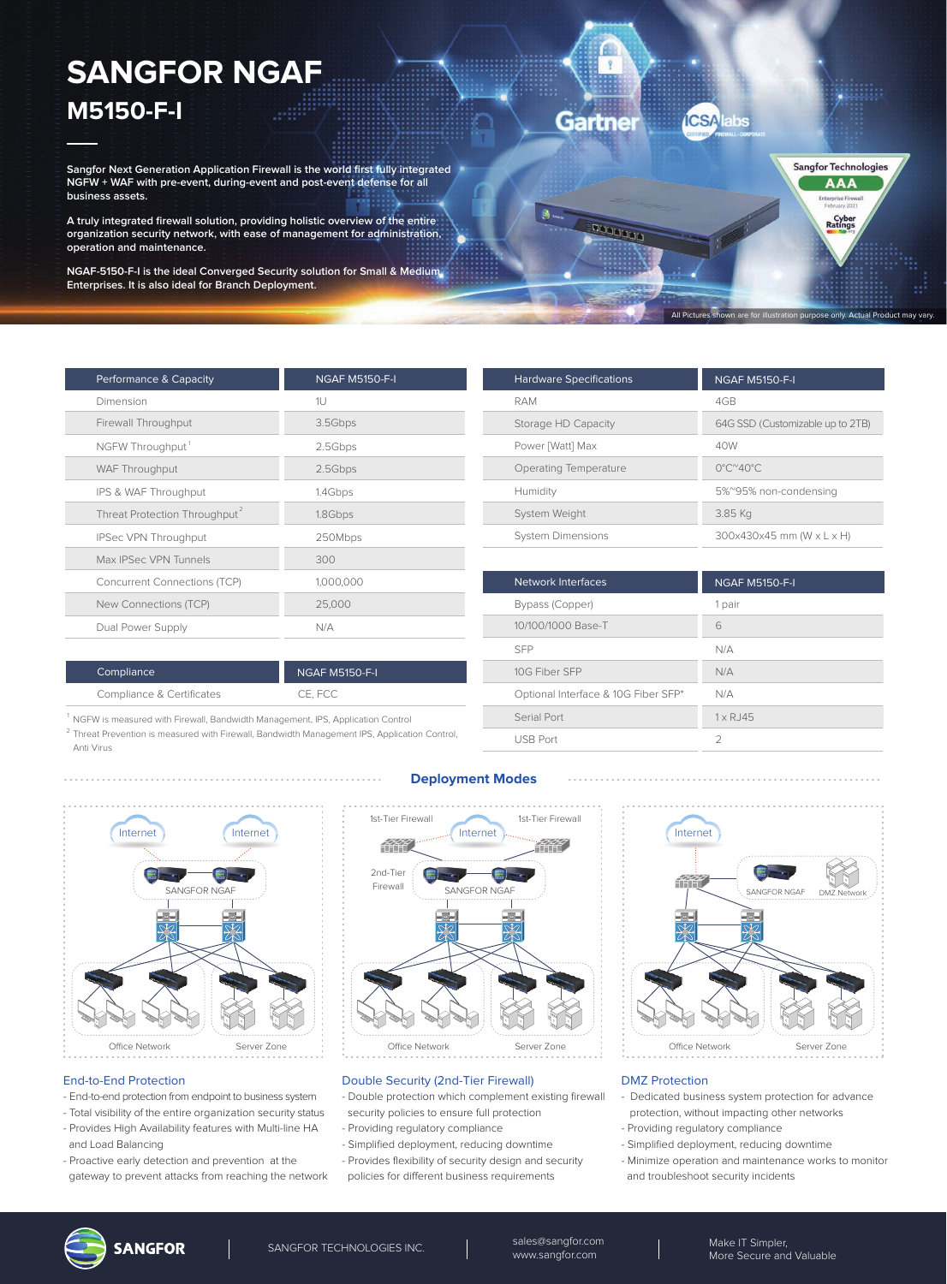# **SANGFOR NGAF M5150-F-I**

**Sangfor Next Generation Application Firewall is the world first fully integrated NGFW + WAF with pre-event, during-event and post-event defense for all business assets.**

**A truly integrated firewall solution, providing holistic overview of the entire organization security network, with ease of management for administration, operation and maintenance.**

**NGAF-5150-F-I is the ideal Converged Security solution for Small & Medium Enterprises. It is also ideal for Branch Deployment.**

| Performance & Capacity                    | <b>NGAF M5150-F-I</b> |
|-------------------------------------------|-----------------------|
| Dimension                                 | 1U                    |
| Firewall Throughput                       | 3.5Gbps               |
| NGFW Throughput <sup>1</sup>              | 2.5Gbps               |
| WAF Throughput                            | 2.5Gbps               |
| IPS & WAF Throughput                      | 1.4Gbps               |
| Threat Protection Throughput <sup>2</sup> | 1.8Gbps               |
| IPSec VPN Throughput                      | 250Mbps               |
| Max IPSec VPN Tunnels                     | 300                   |
| <b>Concurrent Connections (TCP)</b>       | 1,000,000             |
| New Connections (TCP)                     | 25,000                |
| Dual Power Supply                         | N/A                   |
|                                           |                       |

| <b>Hardware Specifications</b> | <b>NGAF M5150-F-I</b>                   |
|--------------------------------|-----------------------------------------|
| RAM                            | 4GB                                     |
| Storage HD Capacity            | 64G SSD (Customizable up to 2TB)        |
| Power [Watt] Max               | 40W                                     |
| Operating Temperature          | $0^{\circ}$ C $^{\sim}$ 40 $^{\circ}$ C |
| Humidity                       | 5%~95% non-condensing                   |
| System Weight                  | 3.85 Kg                                 |
| <b>System Dimensions</b>       | 300x430x45 mm (W x L x H)               |

**ICSA** 

 $\sqrt{2}$ 

naaaaa

Gartner

All Pictures shown are for illustration purpose only. Actual Product may vary.

Sangfor Technologies **AAA** 

Cyber<br>Ratings

| Network Interfaces                  | <b>NGAF M5150-F-I</b> |
|-------------------------------------|-----------------------|
| Bypass (Copper)                     | 1 pair                |
| 10/100/1000 Base-T                  | 6                     |
| <b>SFP</b>                          | N/A                   |
| 10G Fiber SFP                       | N/A                   |
| Optional Interface & 10G Fiber SFP* | N/A                   |
| Serial Port                         | $1 \times R$ . 145    |
| <b>USB Port</b>                     | $\mathcal{D}$         |
|                                     |                       |

| Compliance                | <b>NGAF M5150-F-I</b> |
|---------------------------|-----------------------|
| Compliance & Certificates | CE. FCC               |

<sup>1</sup> NGFW is measured with Firewall, Bandwidth Management, IPS, Application Control

<sup>2</sup> Threat Prevention is measured with Firewall, Bandwidth Management IPS, Application Control, Anti Virus



- End-to-end protection from endpoint to business system - Total visibility of the entire organization security status - Provides High Availability features with Multi-line HA

- Proactive early detection and prevention at the gateway to prevent attacks from reaching the network

## **Deployment Modes**



Server Zone **Server Zone** Coffice Network Server Zone

### Double Security (2nd-Tier Firewall)

- Double protection which complement existing firewall security policies to ensure full protection
- Providing regulatory compliance
- Simplified deployment, reducing downtime
- Provides flexibility of security design and security
- policies for different business requirements



#### DMZ Protection

- Dedicated business system protection for advance protection, without impacting other networks
- Providing regulatory compliance
- Simplified deployment, reducing downtime
- Minimize operation and maintenance works to monitor
- and troubleshoot security incidents



End-to-End Protection

and Load Balancing